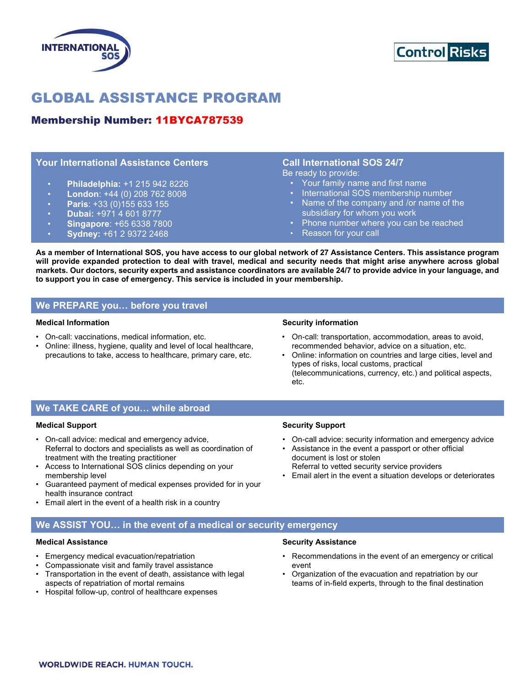



# GLOBAL ASSISTANCE PROGRAM

# Membership Number: 11BYCA787539

## Your International Assistance Centers

- Philadelphia: +1 215 942 8226
- London:  $+44$  (0) 208 762 8008
- Paris: +33 (0)155 633 155
- Dubai: +971 4 601 8777
- Singapore: +65 6338 7800
- Sydney: +61 2 9372 2468

# Call International SOS 24/7

Be ready to provide:

- Your family name and first name
- International SOS membership number
- Name of the company and /or name of the subsidiary for whom you work
- Phone number where you can be reached
- Reason for your call

As a member of International SOS, you have access to our global network of 27 Assistance Centers. This assistance program will provide expanded protection to deal with travel, medical and security needs that might arise anywhere across global markets. Our doctors, security experts and assistance coordinators are available 24/7 to provide advice in your language, and to support you in case of emergency. This service is included in your membership.

## We PREPARE you… before you travel

## Medical Information

- On-call: vaccinations, medical information, etc.
- Online: illness, hygiene, quality and level of local healthcare, precautions to take, access to healthcare, primary care, etc.

#### Security information

- On-call: transportation, accommodation, areas to avoid, recommended behavior, advice on a situation, etc.
- Online: information on countries and large cities, level and types of risks, local customs, practical (telecommunications, currency, etc.) and political aspects, etc.

## We TAKE CARE of you… while abroad

## Medical Support

- On-call advice: medical and emergency advice, Referral to doctors and specialists as well as coordination of treatment with the treating practitioner
- Access to International SOS clinics depending on your membership level
- Guaranteed payment of medical expenses provided for in your health insurance contract
- Email alert in the event of a health risk in a country

## Security Support

- On-call advice: security information and emergency advice
- Assistance in the event a passport or other official document is lost or stolen
- Referral to vetted security service providers
- Email alert in the event a situation develops or deteriorates

## We ASSIST YOU… in the event of a medical or security emergency

## Medical Assistance

- Emergency medical evacuation/repatriation
- Compassionate visit and family travel assistance
- Transportation in the event of death, assistance with legal aspects of repatriation of mortal remains
- Hospital follow-up, control of healthcare expenses

## Security Assistance

- Recommendations in the event of an emergency or critical event
- Organization of the evacuation and repatriation by our teams of in-field experts, through to the final destination